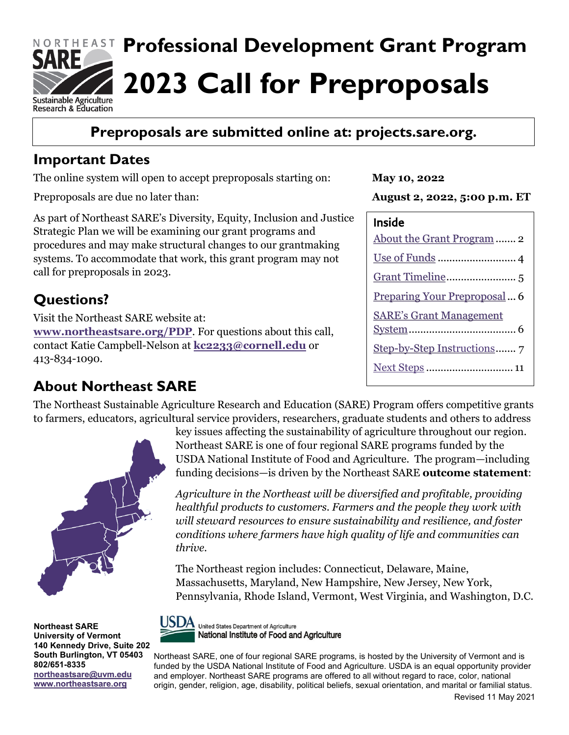

## **Preproposals are submitted online at: [projects.sare.org.](https://projects.sare.org/)**

### **Important Dates**

The online system will open to accept preproposals starting on:

Preproposals are due no later than:

As part of Northeast SARE's Diversity, Equity, Inclusion and Justice Strategic Plan we will be examining our grant programs and procedures and may make structural changes to our grantmaking systems. To accommodate that work, this grant program may not call for preproposals in 2023.

## **Questions?**

Visit the Northeast SARE website at: **[www.northeastsare.org/PDP](http://www.northeastsare.org/PDP)**. For questions about this call, contact Katie Campbell-Nelson at **[kc2233@cornell.edu](mailto:kc2233@cornell.edu)** or 413-834-1090.

## **About Northeast SARE**

The Northeast Sustainable Agriculture Research and Education (SARE) Program offers competitive grants to farmers, educators, agricultural service providers, researchers, graduate students and others to address



**Northeast SARE University of Vermont 140 Kennedy Drive, Suite 202 South Burlington, VT 05403 802/651-8335 [northeastsare@uvm.edu](mailto:northeastsare@uvm.edu) [www.northeastsare.org](http://www.northeastsare.org/)**

key issues affecting the sustainability of agriculture throughout our region. Northeast SARE is one of four regional SARE programs funded by the USDA National Institute of Food and Agriculture. The program—including funding decisions—is driven by the Northeast SARE **outcome statement**:

*Agriculture in the Northeast will be diversified and profitable, providing healthful products to customers. Farmers and the people they work with will steward resources to ensure sustainability and resilience, and foster conditions where farmers have high quality of life and communities can thrive.*

The Northeast region includes: Connecticut, Delaware, Maine, Massachusetts, Maryland, New Hampshire, New Jersey, New York, Pennsylvania, Rhode Island, Vermont, West Virginia, and Washington, D.C.



United States Department of Agriculture National Institute of Food and Agriculture

Northeast SARE, one of four regional SARE programs, is hosted by the University of Vermont and is funded by the USDA National Institute of Food and Agriculture. USDA is an equal opportunity provider and employer. Northeast SARE programs are offered to all without regard to race, color, national origin, gender, religion, age, disability, political beliefs, sexual orientation, and marital or familial status.

**May 10, 2022**

**August 2, 2022, 5:00 p.m. ET**

| Inside                              |
|-------------------------------------|
| About the Grant Program  2          |
|                                     |
|                                     |
| <u>Preparing Your Preproposal</u> 6 |
| <b>SARE's Grant Management</b>      |
|                                     |
|                                     |
|                                     |
|                                     |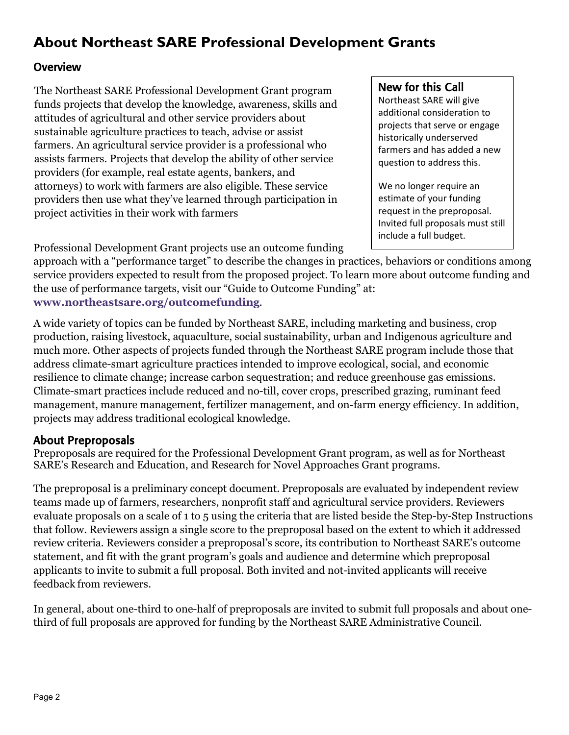# <span id="page-1-0"></span>**About Northeast SARE Professional Development Grants**

#### **Overview**

The Northeast SARE Professional Development Grant program funds projects that develop the knowledge, awareness, skills and attitudes of agricultural and other service providers about sustainable agriculture practices to teach, advise or assist farmers. An agricultural service provider is a professional who assists farmers. Projects that develop the ability of other service providers (for example, real estate agents, bankers, and attorneys) to work with farmers are also eligible. These service providers then use what they've learned through participation in project activities in their work with farmers

Professional Development Grant projects use an outcome funding

approach with a "performance target" to describe the changes in practices, behaviors or conditions among service providers expected to result from the proposed project. To learn more about outcome funding and the use of performance targets, visit our "Guide to Outcome Funding" at: **[www.northeastsare.org/outcomefunding](http://www.northeastsare.org/outcomefunding)**.

A wide variety of topics can be funded by Northeast SARE, including marketing and business, crop production, raising livestock, aquaculture, social sustainability, urban and Indigenous agriculture and much more. Other aspects of projects funded through the Northeast SARE program include those that address climate-smart agriculture practices intended to improve ecological, social, and economic resilience to climate change; increase carbon sequestration; and reduce greenhouse gas emissions. Climate-smart practices include reduced and no-till, cover crops, prescribed grazing, ruminant feed management, manure management, fertilizer management, and on-farm energy efficiency. In addition, projects may address traditional ecological knowledge.

#### About Preproposals

Preproposals are required for the Professional Development Grant program, as well as for Northeast SARE's Research and Education, and Research for Novel Approaches Grant programs.

The preproposal is a preliminary concept document. Preproposals are evaluated by independent review teams made up of farmers, researchers, nonprofit staff and agricultural service providers. Reviewers evaluate proposals on a scale of 1 to 5 using the criteria that are listed beside the Step-by-Step Instructions that follow. Reviewers assign a single score to the preproposal based on the extent to which it addressed review criteria. Reviewers consider a preproposal's score, its contribution to Northeast SARE's outcome statement, and fit with the grant program's goals and audience and determine which preproposal applicants to invite to submit a full proposal. Both invited and not-invited applicants will receive feedback from reviewers.

In general, about one-third to one-half of preproposals are invited to submit full proposals and about onethird of full proposals are approved for funding by the Northeast SARE Administrative Council.

#### New for this Call

Northeast SARE will give additional consideration to projects that serve or engage historically underserved farmers and has added a new question to address this.

We no longer require an estimate of your funding request in the preproposal. Invited full proposals must still include a full budget.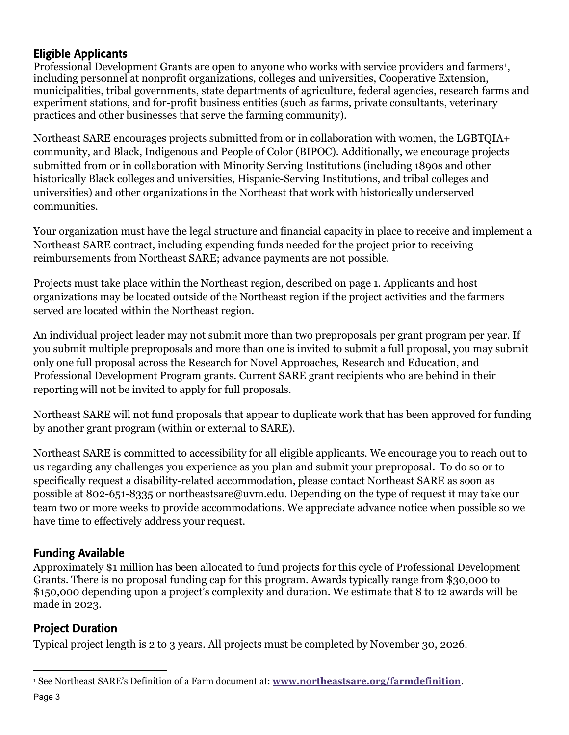#### Eligible Applicants

Professional Development Grants are open to anyone who works with service providers and farmers<sup>[1](#page-2-0)</sup>, including personnel at nonprofit organizations, colleges and universities, Cooperative Extension, municipalities, tribal governments, state departments of agriculture, federal agencies, research farms and experiment stations, and for-profit business entities (such as farms, private consultants, veterinary practices and other businesses that serve the farming community).

Northeast SARE encourages projects submitted from or in collaboration with women, the LGBTQIA+ community, and Black, Indigenous and People of Color (BIPOC). Additionally, we encourage projects submitted from or in collaboration with Minority Serving Institutions (including 1890s and other historically Black colleges and universities, Hispanic-Serving Institutions, and tribal colleges and universities) and other organizations in the Northeast that work with historically underserved communities.   

Your organization must have the legal structure and financial capacity in place to receive and implement a Northeast SARE contract, including expending funds needed for the project prior to receiving reimbursements from Northeast SARE; advance payments are not possible.   

Projects must take place within the Northeast region, described on page 1. Applicants and host organizations may be located outside of the Northeast region if the project activities and the farmers served are located within the Northeast region.   

An individual project leader may not submit more than two preproposals per grant program per year. If you submit multiple preproposals and more than one is invited to submit a full proposal, you may submit only one full proposal across the Research for Novel Approaches, Research and Education, and Professional Development Program grants. Current SARE grant recipients who are behind in their reporting will not be invited to apply for full proposals.

Northeast SARE will not fund proposals that appear to duplicate work that has been approved for funding by another grant program (within or external to SARE).  

Northeast SARE is committed to accessibility for all eligible applicants. We encourage you to reach out to us regarding any challenges you experience as you plan and submit your preproposal. To do so or to specifically request a disability-related accommodation, please contact Northeast SARE as soon as possible at 802-651-8335 or northeastsare@uvm.edu. Depending on the type of request it may take our team two or more weeks to provide accommodations. We appreciate advance notice when possible so we have time to effectively address your request.  

#### Funding Available

Approximately \$1 million has been allocated to fund projects for this cycle of Professional Development Grants. There is no proposal funding cap for this program. Awards typically range from \$30,000 to \$150,000 depending upon a project's complexity and duration. We estimate that 8 to 12 awards will be made in 2023.

#### Project Duration

Typical project length is 2 to 3 years. All projects must be completed by November 30, 2026.

<span id="page-2-0"></span><sup>1</sup> See Northeast SARE's Definition of a Farm document at: **[www.northeastsare.org/farmdefinition](northeast.sare.org/farmdefinition)**.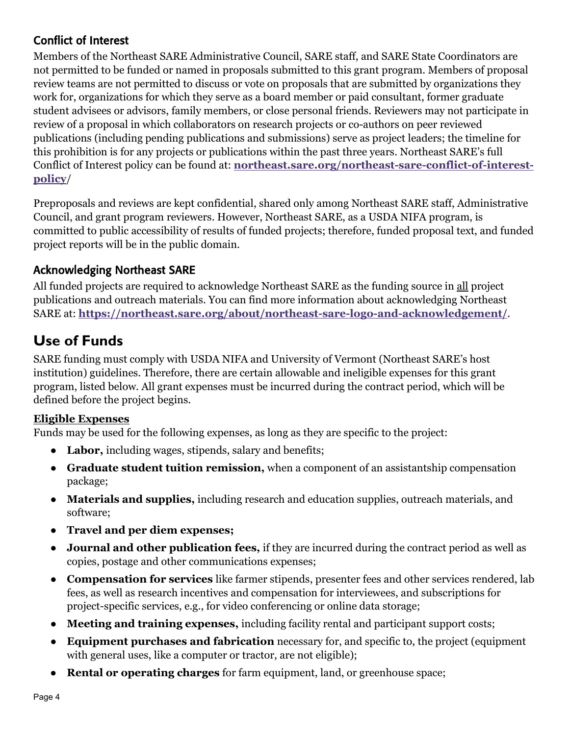#### Conflict of Interest

Members of the Northeast SARE Administrative Council, SARE staff, and SARE State Coordinators are not permitted to be funded or named in proposals submitted to this grant program. Members of proposal review teams are not permitted to discuss or vote on proposals that are submitted by organizations they work for, organizations for which they serve as a board member or paid consultant, former graduate student advisees or advisors, family members, or close personal friends. Reviewers may not participate in review of a proposal in which collaborators on research projects or co-authors on peer reviewed publications (including pending publications and submissions) serve as project leaders; the timeline for this prohibition is for any projects or publications within the past three years. Northeast SARE's full Conflict of Interest policy can be found at: **[northeast.sare.org/northeast-sare-conflict-of-interest](https://uvmoffice.sharepoint.com/sites/NortheastSAREFiles/Shared%20Documents/Grant%20Coordinator%20Resources/Large%20Grant%20Docs/2023/2023%20Preproposal%20Calls/2023%20Preproposal%20Calls%20Formatted/2023%20Preproposal%20Calls%20Final%20Versions%20to%20Post/northeast.sare.org/northeast-sare-conflict-of-interest-policy)[policy](https://uvmoffice.sharepoint.com/sites/NortheastSAREFiles/Shared%20Documents/Grant%20Coordinator%20Resources/Large%20Grant%20Docs/2023/2023%20Preproposal%20Calls/2023%20Preproposal%20Calls%20Formatted/2023%20Preproposal%20Calls%20Final%20Versions%20to%20Post/northeast.sare.org/northeast-sare-conflict-of-interest-policy)**/

Preproposals and reviews are kept confidential, shared only among Northeast SARE staff, Administrative Council, and grant program reviewers. However, Northeast SARE, as a USDA NIFA program, is committed to public accessibility of results of funded projects; therefore, funded proposal text, and funded project reports will be in the public domain.  

#### Acknowledging Northeast SARE

All funded projects are required to acknowledge Northeast SARE as the funding source in all project publications and outreach materials. You can find more information about acknowledging Northeast SARE at: **<https://northeast.sare.org/about/northeast-sare-logo-and-acknowledgement/>**.

# <span id="page-3-0"></span>**Use of Funds**

SARE funding must comply with USDA NIFA and University of Vermont (Northeast SARE's host institution) guidelines. Therefore, there are certain allowable and ineligible expenses for this grant program, listed below. All grant expenses must be incurred during the contract period, which will be defined before the project begins.

#### **Eligible Expenses**

Funds may be used for the following expenses, as long as they are specific to the project:

- **Labor,** including wages, stipends, salary and benefits;
- **Graduate student tuition remission,** when a component of an assistantship compensation package;
- **Materials and supplies,** including research and education supplies, outreach materials, and software;
- **Travel and per diem expenses;**
- **Journal and other publication fees,** if they are incurred during the contract period as well as copies, postage and other communications expenses;
- **Compensation for services** like farmer stipends, presenter fees and other services rendered, lab fees, as well as research incentives and compensation for interviewees, and subscriptions for project-specific services, e.g., for video conferencing or online data storage;
- **Meeting and training expenses,** including facility rental and participant support costs;
- **Equipment purchases and fabrication** necessary for, and specific to, the project (equipment with general uses, like a computer or tractor, are not eligible);
- **Rental or operating charges** for farm equipment, land, or greenhouse space;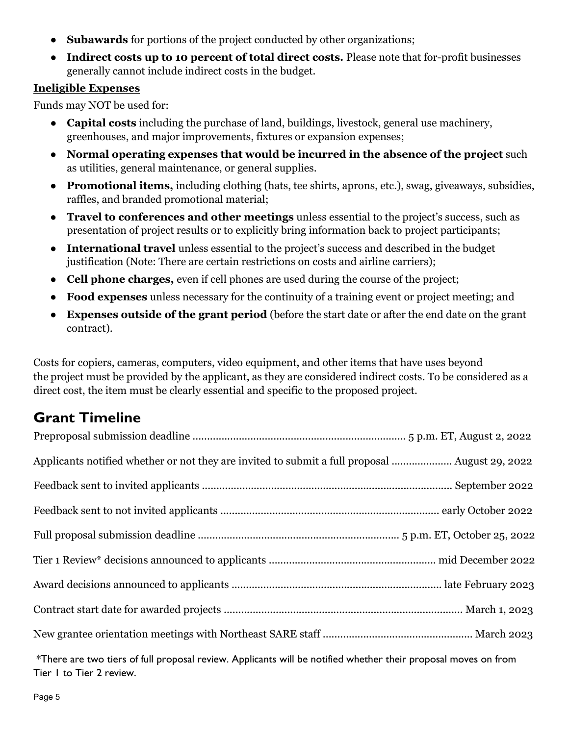- **Subawards** for portions of the project conducted by other organizations;
- **Indirect costs up to 10 percent of total direct costs.** Please note that for-profit businesses generally cannot include indirect costs in the budget.

#### **Ineligible Expenses**

Funds may NOT be used for:

- <span id="page-4-0"></span>● **Capital costs** including the purchase of land, buildings, livestock, general use machinery, greenhouses, and major improvements, fixtures or expansion expenses;
- **Normal operating expenses that would be incurred in the absence of the project** such as utilities, general maintenance, or general supplies.
- **Promotional items,** including clothing (hats, tee shirts, aprons, etc.), swag, giveaways, subsidies, raffles, and branded promotional material;
- **Travel to conferences and other meetings** unless essential to the project's success, such as presentation of project results or to explicitly bring information back to project participants;
- **International travel** unless essential to the project's success and described in the budget justification (Note: There are certain restrictions on costs and airline carriers);
- **Cell phone charges,** even if cell phones are used during the course of the project;
- **Food expenses** unless necessary for the continuity of a training event or project meeting; and
- **Expenses outside of the grant period** (before the start date or after the end date on the grant contract).

Costs for copiers, cameras, computers, video equipment, and other items that have uses beyond the project must be provided by the applicant, as they are considered indirect costs. To be considered as a direct cost, the item must be clearly essential and specific to the proposed project.  

### **Grant Timeline**

| Applicants notified whether or not they are invited to submit a full proposal  August 29, 2022 |
|------------------------------------------------------------------------------------------------|
|                                                                                                |
|                                                                                                |
|                                                                                                |
|                                                                                                |
|                                                                                                |
|                                                                                                |
|                                                                                                |

\*There are two tiers of full proposal review. Applicants will be notified whether their proposal moves on from Tier 1 to Tier 2 review.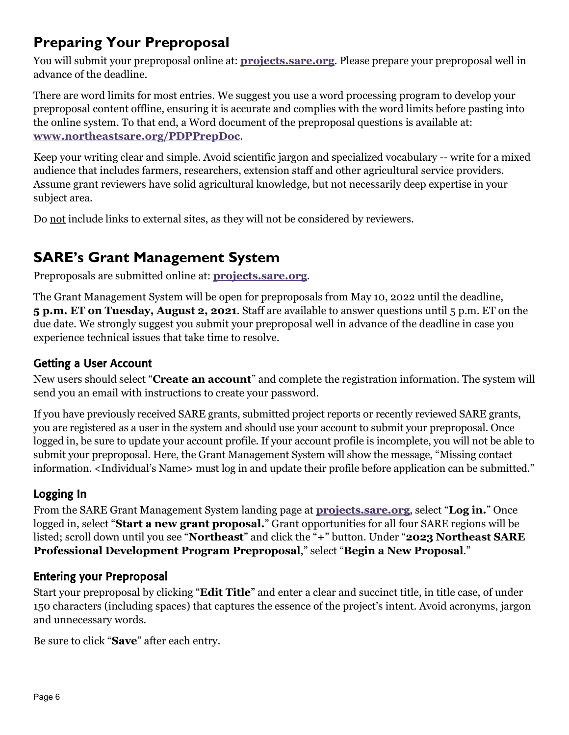# <span id="page-5-0"></span>**Preparing Your Preproposal**

You will submit your preproposal online at: **[projects.sare.org](https://projects.sare.org/)**. Please prepare your preproposal well in advance of the deadline.

There are word limits for most entries. We suggest you use a word processing program to develop your preproposal content offline, ensuring it is accurate and complies with the word limits before pasting into the online system. To that end, a Word document of the preproposal questions is available at: **[www.northeastsare.org/PDPPrepDoc](http://www.northeastsare.org/PDPPrepDoc)**.

Keep your writing clear and simple. Avoid scientific jargon and specialized vocabulary -- write for a mixed audience that includes farmers, researchers, extension staff and other agricultural service providers. Assume grant reviewers have solid agricultural knowledge, but not necessarily deep expertise in your subject area.

Do not include links to external sites, as they will not be considered by reviewers.

# <span id="page-5-1"></span>**SARE's Grant Management System**

Preproposals are submitted online at: **[projects.sare.org](https://projects.sare.org/)**.

The Grant Management System will be open for preproposals from May 10, 2022 until the deadline, **5 p.m. ET on Tuesday, August 2, 2021**. Staff are available to answer questions until 5 p.m. ET on the due date. We strongly suggest you submit your preproposal well in advance of the deadline in case you experience technical issues that take time to resolve.

### Getting a User Account

New users should select "**Create an account**" and complete the registration information. The system will send you an email with instructions to create your password.

If you have previously received SARE grants, submitted project reports or recently reviewed SARE grants, you are registered as a user in the system and should use your account to submit your preproposal. Once logged in, be sure to update your account profile. If your account profile is incomplete, you will not be able to submit your preproposal. Here, the Grant Management System will show the message, "Missing contact information. <Individual's Name> must log in and update their profile before application can be submitted."

### Logging In

From the SARE Grant Management System landing page at **[projects.sare.org](https://projects.sare.org/)**, select "**Log in.**" Once logged in, select "**Start a new grant proposal.**" Grant opportunities for all four SARE regions will be listed; scroll down until you see "**Northeast**" and click the "**+**" button. Under "**2023 Northeast SARE Professional Development Program Preproposal**," select "**Begin a New Proposal**."

#### Entering your Preproposal

Start your preproposal by clicking "**Edit Title**" and enter a clear and succinct title, in title case, of under 150 characters (including spaces) that captures the essence of the project's intent. Avoid acronyms, jargon and unnecessary words.

Be sure to click "**Save**" after each entry.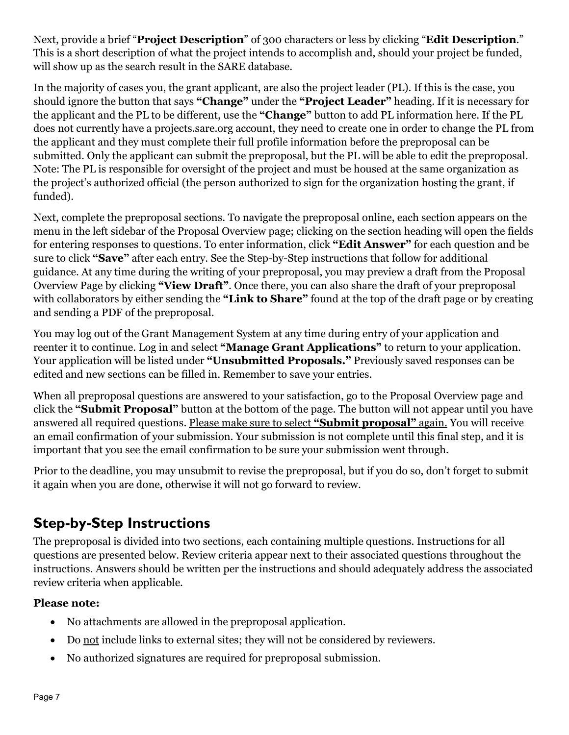Next, provide a brief "**Project Description**" of 300 characters or less by clicking "**Edit Description**." This is a short description of what the project intends to accomplish and, should your project be funded, will show up as the search result in the SARE database.

In the majority of cases you, the grant applicant, are also the project leader (PL). If this is the case, you should ignore the button that says **"Change"** under the **"Project Leader"** heading. If it is necessary for the applicant and the PL to be different, use the **"Change"** button to add PL information here. If the PL does not currently have a projects.sare.org account, they need to create one in order to change the PL from the applicant and they must complete their full profile information before the preproposal can be submitted. Only the applicant can submit the preproposal, but the PL will be able to edit the preproposal. Note: The PL is responsible for oversight of the project and must be housed at the same organization as the project's authorized official (the person authorized to sign for the organization hosting the grant, if funded).

Next, complete the preproposal sections. To navigate the preproposal online, each section appears on the menu in the left sidebar of the Proposal Overview page; clicking on the section heading will open the fields for entering responses to questions. To enter information, click **"Edit Answer"** for each question and be sure to click **"Save"** after each entry. See the Step-by-Step instructions that follow for additional guidance. At any time during the writing of your preproposal, you may preview a draft from the Proposal Overview Page by clicking **"View Draft"**. Once there, you can also share the draft of your preproposal with collaborators by either sending the **"Link to Share"** found at the top of the draft page or by creating and sending a PDF of the preproposal.

You may log out of the Grant Management System at any time during entry of your application and reenter it to continue. Log in and select **"Manage Grant Applications"** to return to your application. Your application will be listed under **"Unsubmitted Proposals."** Previously saved responses can be edited and new sections can be filled in. Remember to save your entries.

When all preproposal questions are answered to your satisfaction, go to the Proposal Overview page and click the **"Submit Proposal"** button at the bottom of the page. The button will not appear until you have answered all required questions. Please make sure to select **"Submit proposal"** again. You will receive an email confirmation of your submission. Your submission is not complete until this final step, and it is important that you see the email confirmation to be sure your submission went through.

Prior to the deadline, you may unsubmit to revise the preproposal, but if you do so, don't forget to submit it again when you are done, otherwise it will not go forward to review.

# <span id="page-6-0"></span>**Step-by-Step Instructions**

The preproposal is divided into two sections, each containing multiple questions. Instructions for all questions are presented below. Review criteria appear next to their associated questions throughout the instructions. Answers should be written per the instructions and should adequately address the associated review criteria when applicable.

#### **Please note:**

- No attachments are allowed in the preproposal application.
- Do not include links to external sites; they will not be considered by reviewers.
- No authorized signatures are required for preproposal submission.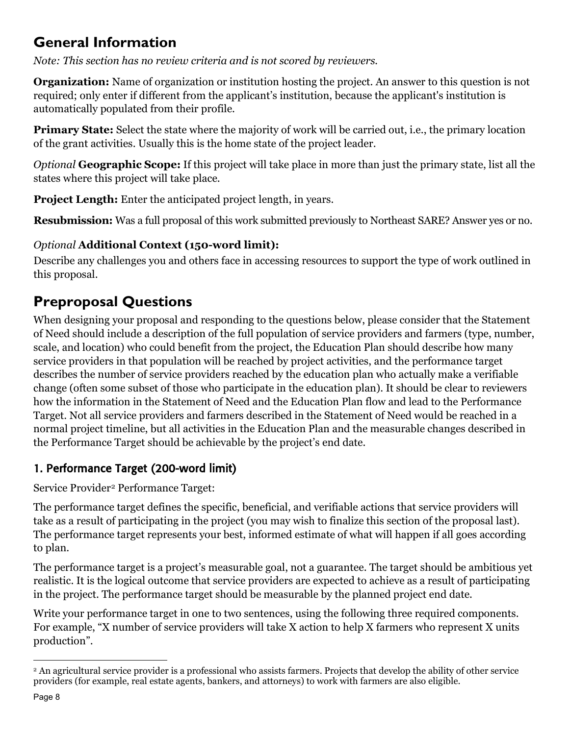# **General Information**

*Note: This section has no review criteria and is not scored by reviewers.* 

**Organization:** Name of organization or institution hosting the project. An answer to this question is not required; only enter if different from the applicant's institution, because the applicant's institution is automatically populated from their profile.

**Primary State:** Select the state where the majority of work will be carried out, i.e., the primary location of the grant activities. Usually this is the home state of the project leader.  

*Optional* **Geographic Scope:** If this project will take place in more than just the primary state, list all the states where this project will take place.

**Project Length:** Enter the anticipated project length, in years.

**Resubmission:** Was a full proposal of this work submitted previously to Northeast SARE? Answer yes or no.

### *Optional* **Additional Context (150-word limit):**

Describe any challenges you and others face in accessing resources to support the type of work outlined in this proposal.

# **Preproposal Questions**

When designing your proposal and responding to the questions below, please consider that the Statement of Need should include a description of the full population of service providers and farmers (type, number, scale, and location) who could benefit from the project, the Education Plan should describe how many service providers in that population will be reached by project activities, and the performance target describes the number of service providers reached by the education plan who actually make a verifiable change (often some subset of those who participate in the education plan). It should be clear to reviewers how the information in the Statement of Need and the Education Plan flow and lead to the Performance Target. Not all service providers and farmers described in the Statement of Need would be reached in a normal project timeline, but all activities in the Education Plan and the measurable changes described in the Performance Target should be achievable by the project's end date.

### 1. Performance Target (200-word limit)

Service Provider<sup>[2](#page-7-0)</sup> Performance Target:

The performance target defines the specific, beneficial, and verifiable actions that service providers will take as a result of participating in the project (you may wish to finalize this section of the proposal last). The performance target represents your best, informed estimate of what will happen if all goes according to plan.

The performance target is a project's measurable goal, not a guarantee. The target should be ambitious yet realistic. It is the logical outcome that service providers are expected to achieve as a result of participating in the project. The performance target should be measurable by the planned project end date.

Write your performance target in one to two sentences, using the following three required components. For example, "X number of service providers will take X action to help X farmers who represent X units production".

<span id="page-7-0"></span><sup>2</sup> An agricultural service provider is a professional who assists farmers. Projects that develop the ability of other service providers (for example, real estate agents, bankers, and attorneys) to work with farmers are also eligible.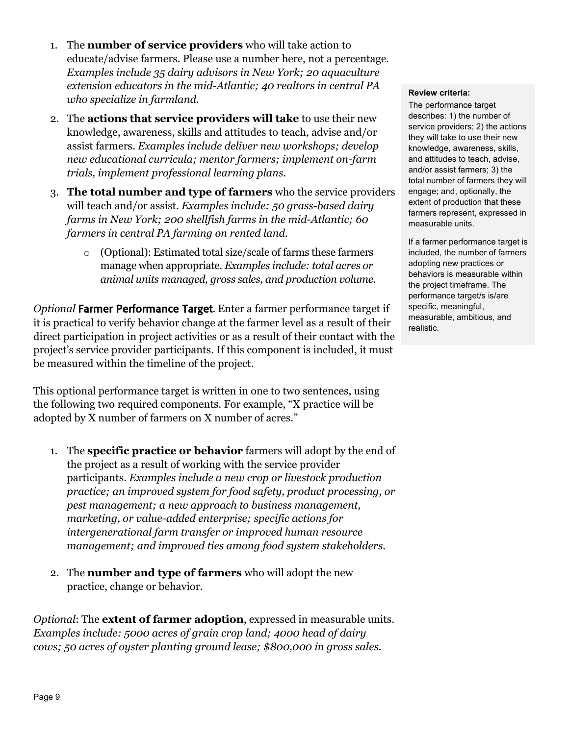- 1. The **number of service providers** who will take action to educate/advise farmers. Please use a number here, not a percentage. *Examples include 35 dairy advisors in New York; 20 aquaculture extension educators in the mid-Atlantic; 40 realtors in central PA who specialize in farmland.*
- 2. The **actions that service providers will take** to use their new knowledge, awareness, skills and attitudes to teach, advise and/or assist farmers. *Examples include deliver new workshops; develop new educational curricula; mentor farmers; implement on-farm trials, implement professional learning plans.*
- 3. **The total number and type of farmers** who the service providers will teach and/or assist. *Examples include: 50 grass-based dairy farms in New York; 200 shellfish farms in the mid-Atlantic; 60 farmers in central PA farming on rented land.*
	- o (Optional): Estimated total size/scale of farms these farmers manage when appropriate. *Examples include: total acres or animal units managed, gross sales, and production volume.*

*Optional* Farmer Performance Target. Enter a farmer performance target if it is practical to verify behavior change at the farmer level as a result of their direct participation in project activities or as a result of their contact with the project's service provider participants. If this component is included, it must be measured within the timeline of the project.

This optional performance target is written in one to two sentences, using the following two required components. For example, "X practice will be adopted by X number of farmers on X number of acres."

- 1. The **specific practice or behavior** farmers will adopt by the end of the project as a result of working with the service provider participants. *Examples include a new crop or livestock production practice; an improved system for food safety, product processing, or pest management; a new approach to business management, marketing, or value-added enterprise; specific actions for intergenerational farm transfer or improved human resource management; and improved ties among food system stakeholders*.
- 2. The **number and type of farmers** who will adopt the new practice, change or behavior.

*Optional*: The **extent of farmer adoption**, expressed in measurable units. *Examples include: 5000 acres of grain crop land; 4000 head of dairy cows; 50 acres of oyster planting ground lease; \$800,000 in gross sales.* 

#### **Review criteria:**

The performance target describes: 1) the number of service providers; 2) the actions they will take to use their new knowledge, awareness, skills, and attitudes to teach, advise, and/or assist farmers; 3) the total number of farmers they will engage; and, optionally, the extent of production that these farmers represent, expressed in measurable units.

If a farmer performance target is included, the number of farmers adopting new practices or behaviors is measurable within the project timeframe. The performance target/s is/are specific, meaningful, measurable, ambitious, and realistic.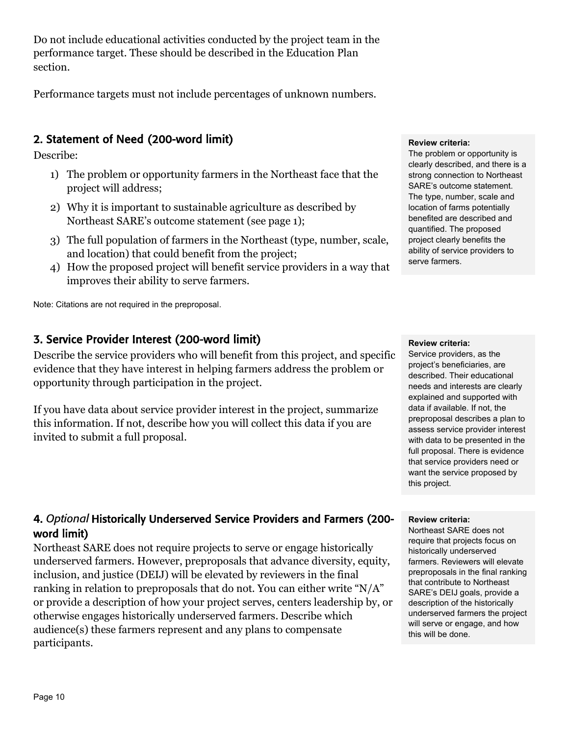Do not include educational activities conducted by the project team in the performance target. These should be described in the Education Plan section.

Performance targets must not include percentages of unknown numbers.

### 2. Statement of Need (200-word limit)

Describe:

- 1) The problem or opportunity farmers in the Northeast face that the project will address;
- 2) Why it is important to sustainable agriculture as described by Northeast SARE's outcome statement (see page 1);
- 3) The full population of farmers in the Northeast (type, number, scale, and location) that could benefit from the project;
- 4) How the proposed project will benefit service providers in a way that improves their ability to serve farmers.

Note: Citations are not required in the preproposal.

#### 3. Service Provider Interest (200-word limit)

Describe the service providers who will benefit from this project, and specific evidence that they have interest in helping farmers address the problem or opportunity through participation in the project.

If you have data about service provider interest in the project, summarize this information. If not, describe how you will collect this data if you are invited to submit a full proposal.

#### 4. *Optional* Historically Underserved Service Providers and Farmers (200 word limit)

Northeast SARE does not require projects to serve or engage historically underserved farmers. However, preproposals that advance diversity, equity, inclusion, and justice (DEIJ) will be elevated by reviewers in the final ranking in relation to preproposals that do not. You can either write "N/A" or provide a description of how your project serves, centers leadership by, or otherwise engages historically underserved farmers. Describe which audience(s) these farmers represent and any plans to compensate participants.

#### **Review criteria:**

The problem or opportunity is clearly described, and there is a strong connection to Northeast SARE's outcome statement. The type, number, scale and location of farms potentially benefited are described and quantified. The proposed project clearly benefits the ability of service providers to serve farmers.

#### **Review criteria:**

Service providers, as the project's beneficiaries, are described. Their educational needs and interests are clearly explained and supported with data if available. If not, the preproposal describes a plan to assess service provider interest with data to be presented in the full proposal. There is evidence that service providers need or want the service proposed by this project.

#### **Review criteria:**

Northeast SARE does not require that projects focus on historically underserved farmers. Reviewers will elevate preproposals in the final ranking that contribute to Northeast SARE's DEIJ goals, provide a description of the historically underserved farmers the project will serve or engage, and how this will be done.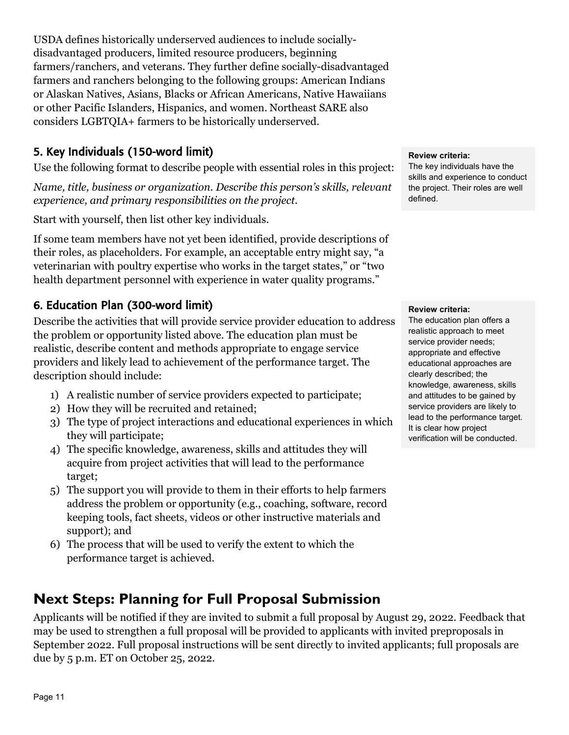USDA defines historically underserved audiences to include sociallydisadvantaged producers, limited resource producers, beginning farmers/ranchers, and veterans. They further define socially-disadvantaged farmers and ranchers belonging to the following groups: American Indians or Alaskan Natives, Asians, Blacks or African Americans, Native Hawaiians or other Pacific Islanders, Hispanics, and women. Northeast SARE also considers LGBTQIA+ farmers to be historically underserved.

#### 5. Key Individuals (150-word limit)

Use the following format to describe people with essential roles in this project:

*Name, title, business or organization. Describe this person's skills, relevant experience, and primary responsibilities on the project.* 

Start with yourself, then list other key individuals.

If some team members have not yet been identified, provide descriptions of their roles, as placeholders. For example, an acceptable entry might say, "a veterinarian with poultry expertise who works in the target states," or "two health department personnel with experience in water quality programs."

#### <span id="page-10-0"></span>6. Education Plan (300-word limit)

Describe the activities that will provide service provider education to address the problem or opportunity listed above. The education plan must be realistic, describe content and methods appropriate to engage service providers and likely lead to achievement of the performance target. The description should include:

- 1) A realistic number of service providers expected to participate;
- 2) How they will be recruited and retained;
- 3) The type of project interactions and educational experiences in which they will participate;
- 4) The specific knowledge, awareness, skills and attitudes they will acquire from project activities that will lead to the performance target;
- 5) The support you will provide to them in their efforts to help farmers address the problem or opportunity (e.g., coaching, software, record keeping tools, fact sheets, videos or other instructive materials and support); and
- 6) The process that will be used to verify the extent to which the performance target is achieved.

## **Next Steps: Planning for Full Proposal Submission**

Applicants will be notified if they are invited to submit a full proposal by August 29, 2022. Feedback that may be used to strengthen a full proposal will be provided to applicants with invited preproposals in September 2022. Full proposal instructions will be sent directly to invited applicants; full proposals are due by 5 p.m. ET on October 25, 2022.

#### **Review criteria:**

The key individuals have the skills and experience to conduct the project. Their roles are well defined.

#### **Review criteria:**

The education plan offers a realistic approach to meet service provider needs; appropriate and effective educational approaches are clearly described; the knowledge, awareness, skills and attitudes to be gained by service providers are likely to lead to the performance target. It is clear how project verification will be conducted.